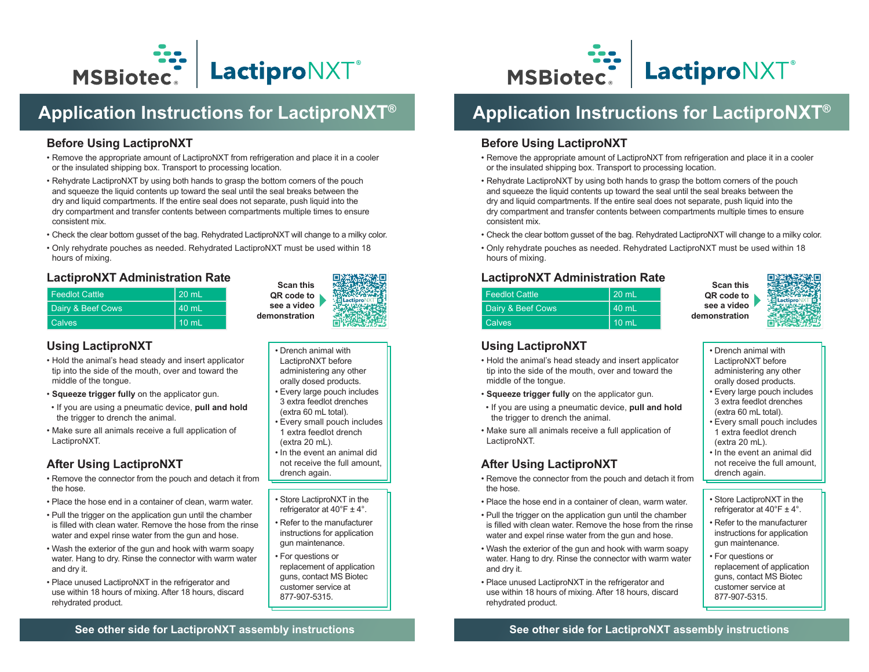

# **Application Instructions for LactiproNXT®**

#### **Before Using LactiproNXT**

- Remove the appropriate amount of LactiproNXT from refrigeration and place it in a cooler or the insulated shipping box. Transport to processing location.
- Rehydrate LactiproNXT by using both hands to grasp the bottom corners of the pouch and squeeze the liquid contents up toward the seal until the seal breaks between the dry and liquid compartments. If the entire seal does not separate, push liquid into the dry compartment and transfer contents between compartments multiple times to ensure consistent mix.
- Check the clear bottom gusset of the bag. Rehydrated LactiproNXT will change to a milky color.
- Only rehydrate pouches as needed. Rehydrated LactiproNXT must be used within 18 hours of mixing.

#### **LactiproNXT Administration Rate**

| <b>Feedlot Cattle</b>        | l 20 mL         |
|------------------------------|-----------------|
| <b>Dairy &amp; Beef Cows</b> | 40 mL           |
| <b>Calves</b>                | $10 \text{ mL}$ |

#### **Using LactiproNXT**

- Hold the animal's head steady and insert applicator tip into the side of the mouth, over and toward the middle of the tongue.
- **Squeeze trigger fully** on the applicator gun.
- If you are using a pneumatic device, **pull and hold** the trigger to drench the animal.
- Make sure all animals receive a full application of LactiproNXT.

## **After Using LactiproNXT**

- Remove the connector from the pouch and detach it from the hose.
- Place the hose end in a container of clean, warm water.
- Pull the trigger on the application gun until the chamber is filled with clean water. Remove the hose from the rinse water and expel rinse water from the gun and hose.
- Wash the exterior of the gun and hook with warm soapy water. Hang to dry. Rinse the connector with warm water and dry it.
- Place unused LactiproNXT in the refrigerator and use within 18 hours of mixing. After 18 hours, discard rehydrated product.



- Drench animal with LactiproNXT before
- administering any other orally dosed products.
- Every large pouch includes 3 extra feedlot drenches (extra 60 mL total).
- Every small pouch includes 1 extra feedlot drench (extra 20 mL).
- In the event an animal did not receive the full amount, drench again.
- Store LactiproNXT in the refrigerator at  $40^{\circ}$ F  $\pm$  4°.
- Refer to the manufacturer instructions for application gun maintenance.
- For questions or replacement of application guns, contact MS Biotec customer service at 877-907-5315.



# **Application Instructions for LactiproNXT®**

#### **Before Using LactiproNXT**

- Remove the appropriate amount of LactiproNXT from refrigeration and place it in a cooler or the insulated shipping box. Transport to processing location.
- Rehydrate LactiproNXT by using both hands to grasp the bottom corners of the pouch and squeeze the liquid contents up toward the seal until the seal breaks between the dry and liquid compartments. If the entire seal does not separate, push liquid into the dry compartment and transfer contents between compartments multiple times to ensure consistent mix.
- Check the clear bottom gusset of the bag. Rehydrated LactiproNXT will change to a milky color.
- Only rehydrate pouches as needed. Rehydrated LactiproNXT must be used within 18 hours of mixing.

#### **LactiproNXT Administration Rate**

| <b>Feedlot Cattle</b> | $20 \text{ mL}$ |
|-----------------------|-----------------|
| Dairy & Beef Cows     | 40 mL           |
| <b>Calves</b>         | $10 \text{ mL}$ |

**Scan this QR code to see a video demonstration**



- **Using LactiproNXT**
- Hold the animal's head steady and insert applicator tip into the side of the mouth, over and toward the middle of the tongue.
- **Squeeze trigger fully** on the applicator gun.
- If you are using a pneumatic device, **pull and hold** the trigger to drench the animal.
- Make sure all animals receive a full application of LactiproNXT.

## **After Using LactiproNXT**

- Remove the connector from the pouch and detach it from the hose.
- Place the hose end in a container of clean, warm water.
- Pull the trigger on the application gun until the chamber is filled with clean water. Remove the hose from the rinse water and expel rinse water from the gun and hose.
- Wash the exterior of the gun and hook with warm soapy water. Hang to dry. Rinse the connector with warm water and dry it.
- Place unused LactiproNXT in the refrigerator and use within 18 hours of mixing. After 18 hours, discard rehydrated product.
- Drench animal with LactiproNXT before administering any other
- orally dosed products.
- Every large pouch includes 3 extra feedlot drenches (extra 60 mL total).
- Every small pouch includes 1 extra feedlot drench (extra 20 mL).
- In the event an animal did not receive the full amount, drench again.
- Store LactiproNXT in the refrigerator at  $40^{\circ}$ F  $\pm$  4°.
- Refer to the manufacturer instructions for application gun maintenance.
- For questions or replacement of application guns, contact MS Biotec customer service at 877-907-5315.